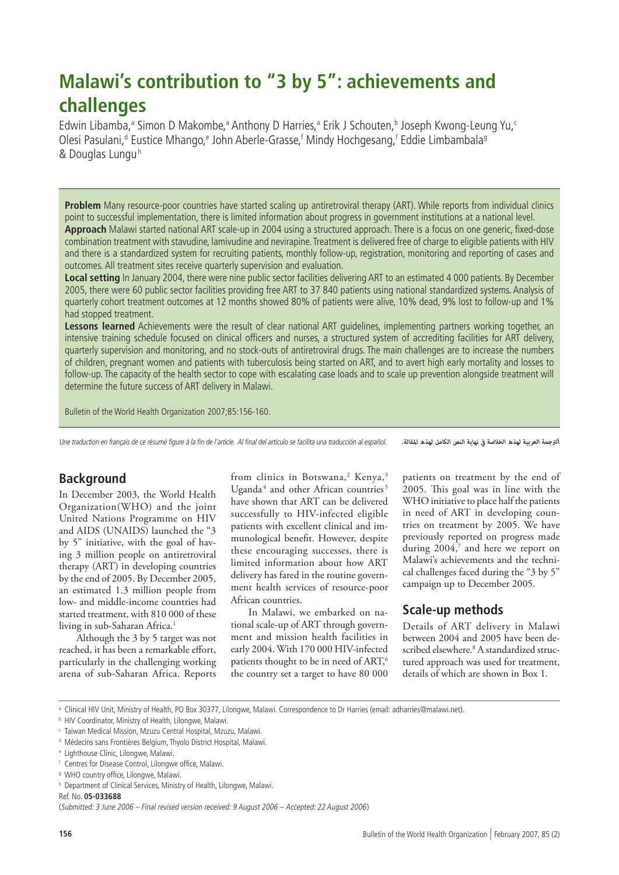# **Malawi's contribution to "3 by 5": achievements and challenges**

Edwin Libamba,<sup>a</sup> Simon D Makombe,<sup>a</sup> Anthony D Harries,<sup>a</sup> Erik J Schouten,<sup>b</sup> Joseph Kwong-Leung Yu,<sup>c</sup> Olesi Pasulani,<sup>d</sup> Eustice Mhango,<sup>e</sup> John Aberle-Grasse,<sup>f</sup> Mindy Hochgesang,<sup>f</sup> Eddie Limbambala<sup>g</sup> & Douglas Lunguh

**Problem** Many resource-poor countries have started scaling up antiretroviral therapy (ART). While reports from individual clinics point to successful implementation, there is limited information about progress in government institutions at a national level. **Approach** Malawi started national ART scale-up in 2004 using a structured approach. There is a focus on one generic, fixed-dose combination treatment with stavudine, lamivudine and nevirapine. Treatment is delivered free of charge to eligible patients with HIV and there is a standardized system for recruiting patients, monthly follow-up, registration, monitoring and reporting of cases and outcomes. All treatment sites receive quarterly supervision and evaluation.

**Local setting** In January 2004, there were nine public sector facilities delivering ART to an estimated 4 000 patients. By December 2005, there were 60 public sector facilities providing free ART to 37 840 patients using national standardized systems. Analysis of quarterly cohort treatment outcomes at 12 months showed 80% of patients were alive, 10% dead, 9% lost to follow-up and 1% had stopped treatment.

**Lessons learned** Achievements were the result of clear national ART guidelines, implementing partners working together, an intensive training schedule focused on clinical officers and nurses, a structured system of accrediting facilities for ART delivery, quarterly supervision and monitoring, and no stock-outs of antiretroviral drugs. The main challenges are to increase the numbers of children, pregnant women and patients with tuberculosis being started on ART, and to avert high early mortality and losses to follow-up. The capacity of the health sector to cope with escalating case loads and to scale up prevention alongside treatment will determine the future success of ART delivery in Malawi.

Bulletin of the World Health Organization 2007;85:156-160.

Une traduction en français de ce résumé figure à la fin de l'article. Al final del artículo se facilita una traducción al español.

*الرتجمة العربية لهذه الخالصة يف نهاية النص الكامل لهذه املقالة.*

## **Background**

In December 2003, the World Health Organization(WHO) and the joint United Nations Programme on HIV and AIDS (UNAIDS) launched the "3 by 5" initiative, with the goal of having 3 million people on antiretroviral therapy (ART) in developing countries by the end of 2005. By December 2005, an estimated 1.3 million people from low- and middle-income countries had started treatment, with 810 000 of these living in sub-Saharan Africa.<sup>1</sup>

Although the 3 by 5 target was not reached, it has been a remarkable effort, particularly in the challenging working arena of sub-Saharan Africa. Reports

from clinics in Botswana,<sup>2</sup> Kenya,<sup>3</sup> Uganda<sup>4</sup> and other African countries<sup>5</sup> have shown that ART can be delivered successfully to HIV-infected eligible patients with excellent clinical and immunological benefit. However, despite these encouraging successes, there is limited information about how ART delivery has fared in the routine government health services of resource-poor African countries.

In Malawi, we embarked on national scale-up of ART through government and mission health facilities in early 2004. With 170 000 HIV-infected patients thought to be in need of ART,<sup>6</sup> the country set a target to have 80 000

patients on treatment by the end of 2005. This goal was in line with the WHO initiative to place half the patients in need of ART in developing countries on treatment by 2005. We have previously reported on progress made during 2004,7 and here we report on Malawi's achievements and the technical challenges faced during the "3 by 5" campaign up to December 2005.

## **Scale-up methods**

Details of ART delivery in Malawi between 2004 and 2005 have been described elsewhere.<sup>8</sup> A standardized structured approach was used for treatment, details of which are shown in Box 1.

a Clinical HIV Unit, Ministry of Health, PO Box 30377, Lilongwe, Malawi. Correspondence to Dr Harries (email: adharries@malawi.net).

Ref. No. **05-033688**

(Submitted: 3 June 2006 – Final revised version received: 9 August 2006 – Accepted: 22 August 2006)

**b HIV Coordinator, Ministry of Health, Lilongwe, Malawi.** 

<sup>c</sup> Taiwan Medical Mission, Mzuzu Central Hospital, Mzuzu, Malawi.

<sup>&</sup>lt;sup>d</sup> Médecins sans Frontières Belgium, Thyolo District Hospital, Malawi.

<sup>e</sup> Lighthouse Clinic, Lilongwe, Malawi.

<sup>f</sup> Centres for Disease Control, Lilongwe office, Malawi.

<sup>&</sup>lt;sup>9</sup> WHO country office, Lilongwe, Malawi.

h Department of Clinical Services, Ministry of Health, Lilongwe, Malawi.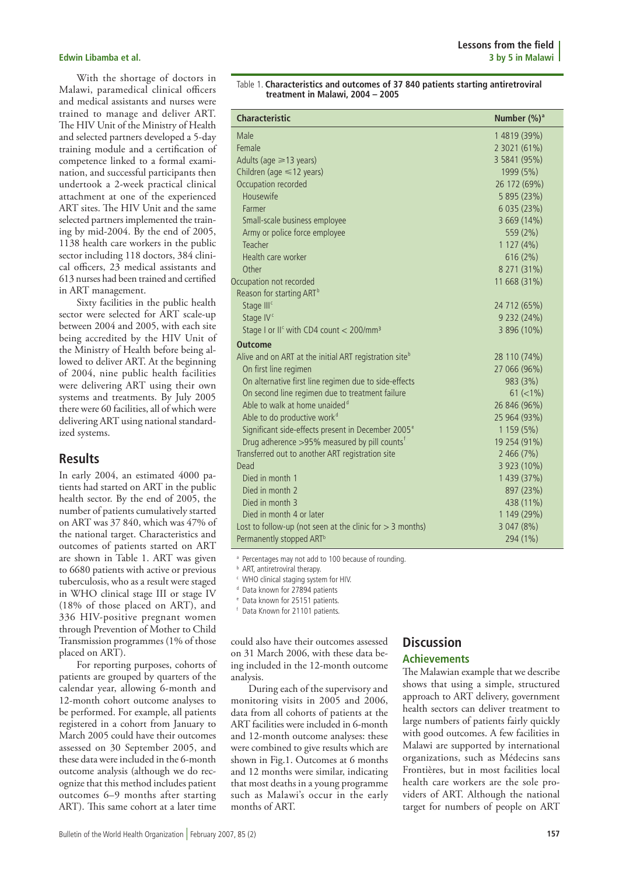With the shortage of doctors in Malawi, paramedical clinical officers and medical assistants and nurses were trained to manage and deliver ART. The HIV Unit of the Ministry of Health and selected partners developed a 5-day training module and a certification of competence linked to a formal examination, and successful participants then undertook a 2-week practical clinical attachment at one of the experienced ART sites. The HIV Unit and the same selected partners implemented the training by mid-2004. By the end of 2005, 1138 health care workers in the public sector including 118 doctors, 384 clinical officers, 23 medical assistants and 613 nurses had been trained and certified in ART management.

Sixty facilities in the public health sector were selected for ART scale-up between 2004 and 2005, with each site being accredited by the HIV Unit of the Ministry of Health before being allowed to deliver ART. At the beginning of 2004, nine public health facilities were delivering ART using their own systems and treatments. By July 2005 there were 60 facilities, all of which were delivering ART using national standardized systems.

### **Results**

In early 2004, an estimated 4000 patients had started on ART in the public health sector. By the end of 2005, the number of patients cumulatively started on ART was 37 840, which was 47% of the national target. Characteristics and outcomes of patients started on ART are shown in Table 1. ART was given to 6680 patients with active or previous tuberculosis, who as a result were staged in WHO clinical stage III or stage IV (18% of those placed on ART), and 336 HIV-positive pregnant women through Prevention of Mother to Child Transmission programmes (1% of those placed on ART).

For reporting purposes, cohorts of patients are grouped by quarters of the calendar year, allowing 6-month and 12-month cohort outcome analyses to be performed. For example, all patients registered in a cohort from January to March 2005 could have their outcomes assessed on 30 September 2005, and these data were included in the 6-month outcome analysis (although we do recognize that this method includes patient outcomes 6–9 months after starting ART). This same cohort at a later time

| Table 1. Characteristics and outcomes of 37 840 patients starting antiretroviral |
|----------------------------------------------------------------------------------|
| treatment in Malawi, 2004 - 2005                                                 |

| <b>Characteristic</b>                                              | Number (%) <sup>a</sup> |
|--------------------------------------------------------------------|-------------------------|
| Male                                                               | 1 4819 (39%)            |
| Female                                                             | 2 3021 (61%)            |
| Adults (age $\geq 13$ years)                                       | 3 5841 (95%)            |
| Children (age $\leq 12$ years)                                     | 1999 (5%)               |
| Occupation recorded                                                | 26 172 (69%)            |
| Housewife                                                          | 5 895 (23%)             |
| Farmer                                                             | 6 035 (23%)             |
| Small-scale business employee                                      | 3 669 (14%)             |
| Army or police force employee                                      | 559 (2%)                |
| Teacher                                                            | 1127(4%)                |
| Health care worker                                                 | 616(2%)                 |
| Other                                                              | 8 271 (31%)             |
| Occupation not recorded                                            | 11 668 (31%)            |
| Reason for starting ART <sup>b</sup>                               |                         |
| Stage III <sup>c</sup>                                             | 24 712 (65%)            |
| Stage IV <sup>c</sup>                                              | 9 232 (24%)             |
| Stage I or II <sup>c</sup> with CD4 count < 200/mm <sup>3</sup>    | 3 896 (10%)             |
| <b>Outcome</b>                                                     |                         |
| Alive and on ART at the initial ART registration site <sup>b</sup> | 28 110 (74%)            |
| On first line regimen                                              | 27 066 (96%)            |
| On alternative first line regimen due to side-effects              | 983 (3%)                |
| On second line regimen due to treatment failure                    | $61 (< 1\%)$            |
| Able to walk at home unaided <sup>d</sup>                          | 26 846 (96%)            |
| Able to do productive work <sup>d</sup>                            | 25 964 (93%)            |
| Significant side-effects present in December 2005 <sup>e</sup>     | 1 159 (5%)              |
| Drug adherence >95% measured by pill counts <sup>f</sup>           | 19 254 (91%)            |
| Transferred out to another ART registration site                   | 2466(7%)                |
| Dead                                                               | 3 923 (10%)             |
| Died in month 1                                                    | 1 439 (37%)             |
| Died in month 2                                                    | 897 (23%)               |
| Died in month 3                                                    | 438 (11%)               |
| Died in month 4 or later                                           | 1 149 (29%)             |
| Lost to follow-up (not seen at the clinic for $>$ 3 months)        | 3 047 (8%)              |
| Permanently stopped ART <sup>b</sup>                               | 294 (1%)                |

a Percentages may not add to 100 because of rounding.

**b** ART, antiretroviral therapy.

<sup>c</sup> WHO clinical staging system for HIV.

<sup>d</sup> Data known for 27894 patients

<sup>e</sup> Data known for 25151 patients.

Data Known for 21101 patients.

could also have their outcomes assessed on 31 March 2006, with these data being included in the 12-month outcome analysis.

During each of the supervisory and monitoring visits in 2005 and 2006, data from all cohorts of patients at the ART facilities were included in 6-month and 12-month outcome analyses: these were combined to give results which are shown in Fig.1. Outcomes at 6 months and 12 months were similar, indicating that most deaths in a young programme such as Malawi's occur in the early months of ART.

## **Discussion**

#### **Achievements**

The Malawian example that we describe shows that using a simple, structured approach to ART delivery, government health sectors can deliver treatment to large numbers of patients fairly quickly with good outcomes. A few facilities in Malawi are supported by international organizations, such as Médecins sans Frontières, but in most facilities local health care workers are the sole providers of ART. Although the national target for numbers of people on ART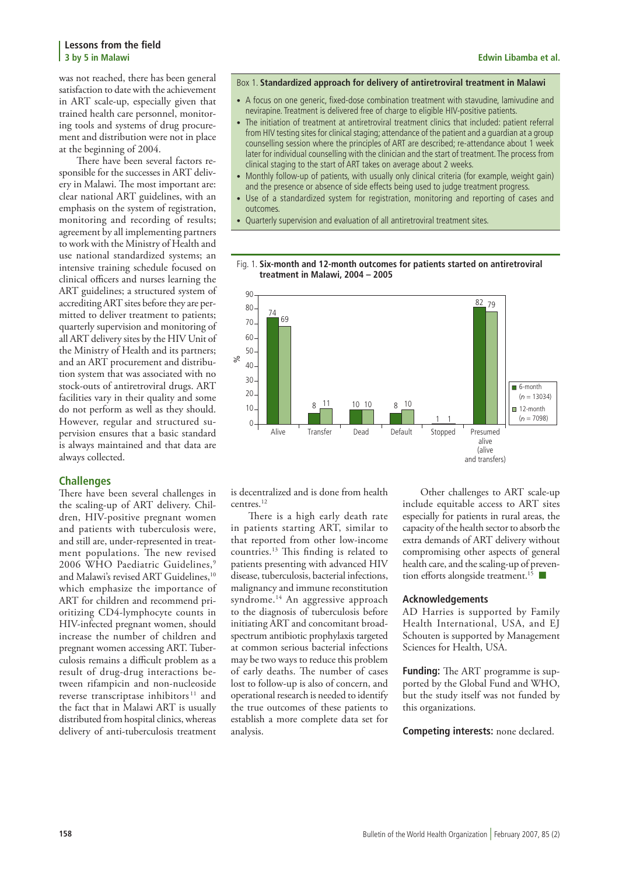was not reached, there has been general satisfaction to date with the achievement in ART scale-up, especially given that trained health care personnel, monitoring tools and systems of drug procurement and distribution were not in place at the beginning of 2004.

There have been several factors responsible for the successes in ART delivery in Malawi. The most important are: clear national ART guidelines, with an emphasis on the system of registration, monitoring and recording of results; agreement by all implementing partners to work with the Ministry of Health and use national standardized systems; an intensive training schedule focused on clinical officers and nurses learning the ART guidelines; a structured system of accrediting ART sites before they are permitted to deliver treatment to patients; quarterly supervision and monitoring of all ART delivery sites by the HIV Unit of the Ministry of Health and its partners; and an ART procurement and distribution system that was associated with no stock-outs of antiretroviral drugs. ART facilities vary in their quality and some do not perform as well as they should. However, regular and structured supervision ensures that a basic standard is always maintained and that data are always collected.

#### **Challenges**

There have been several challenges in the scaling-up of ART delivery. Children, HIV-positive pregnant women and patients with tuberculosis were, and still are, under-represented in treatment populations. The new revised 2006 WHO Paediatric Guidelines,<sup>9</sup> and Malawi's revised ART Guidelines,<sup>10</sup> which emphasize the importance of ART for children and recommend prioritizing CD4-lymphocyte counts in HIV-infected pregnant women, should increase the number of children and pregnant women accessing ART. Tuberculosis remains a difficult problem as a result of drug-drug interactions between rifampicin and non-nucleoside reverse transcriptase inhibitors<sup>11</sup> and the fact that in Malawi ART is usually distributed from hospital clinics, whereas delivery of anti-tuberculosis treatment

#### Box 1. **Standardized approach for delivery of antiretroviral treatment in Malawi**

- A focus on one generic, fixed-dose combination treatment with stavudine, lamivudine and nevirapine. Treatment is delivered free of charge to eligible HIV-positive patients.
- The initiation of treatment at antiretroviral treatment clinics that included: patient referral from HIV testing sites for clinical staging; attendance of the patient and a guardian at a group counselling session where the principles of ART are described; re-attendance about 1 week later for individual counselling with the clinician and the start of treatment. The process from clinical staging to the start of ART takes on average about 2 weeks.
- Monthly follow-up of patients, with usually only clinical criteria (for example, weight gain) and the presence or absence of side effects being used to judge treatment progress.
- Use of a standardized system for registration, monitoring and reporting of cases and outcomes.

Fig. 1. **Six-month and 12-month outcomes for patients started on antiretroviral** 

• Quarterly supervision and evaluation of all antiretroviral treatment sites.



is decentralized and is done from health centres<sup>12</sup>

There is a high early death rate in patients starting ART, similar to that reported from other low-income countries.13 This finding is related to patients presenting with advanced HIV disease, tuberculosis, bacterial infections, malignancy and immune reconstitution syndrome.<sup>14</sup> An aggressive approach to the diagnosis of tuberculosis before initiating ART and concomitant broadspectrum antibiotic prophylaxis targeted at common serious bacterial infections may be two ways to reduce this problem of early deaths. The number of cases lost to follow-up is also of concern, and operational research is needed to identify the true outcomes of these patients to establish a more complete data set for analysis.

Other challenges to ART scale-up include equitable access to ART sites especially for patients in rural areas, the capacity of the health sector to absorb the extra demands of ART delivery without compromising other aspects of general health care, and the scaling-up of prevention efforts alongside treatment.<sup>15</sup>

#### **Acknowledgements**

AD Harries is supported by Family Health International, USA, and EJ Schouten is supported by Management Sciences for Health, USA.

**Funding:** The ART programme is supported by the Global Fund and WHO, but the study itself was not funded by this organizations.

**Competing interests:** none declared.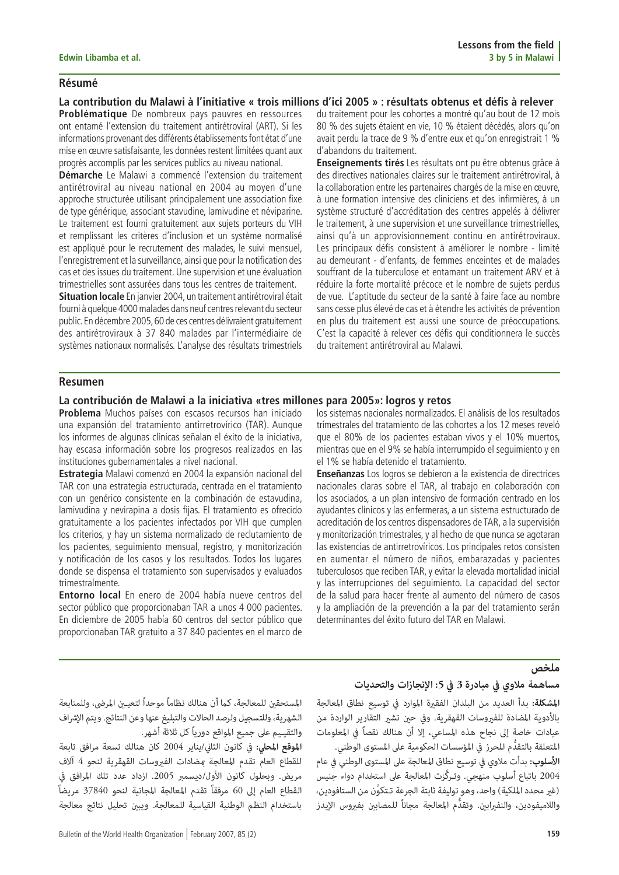### **Résumé**

**La contribution du Malawi à l'initiative « trois millions d'ici 2005 » : résultats obtenus et défis à relever**

**Problématique** De nombreux pays pauvres en ressources ont entamé l'extension du traitement antirétroviral (ART). Si les informations provenant des différents établissements font état d'une mise en œuvre satisfaisante, les données restent limitées quant aux progrès accomplis par les services publics au niveau national.

**Démarche** Le Malawi a commencé l'extension du traitement antirétroviral au niveau national en 2004 au moyen d'une approche structurée utilisant principalement une association fixe de type générique, associant stavudine, lamivudine et néviparine. Le traitement est fourni gratuitement aux sujets porteurs du VIH et remplissant les critères d'inclusion et un système normalisé est appliqué pour le recrutement des malades, le suivi mensuel, l'enregistrement et la surveillance, ainsi que pour la notification des cas et des issues du traitement. Une supervision et une évaluation trimestrielles sont assurées dans tous les centres de traitement.

**Situation locale** En janvier 2004, un traitement antirétroviral était fourni à quelque 4000 malades dans neuf centres relevant du secteur public. En décembre 2005, 60 de ces centres délivraient gratuitement des antirétroviraux à 37 840 malades par l'intermédiaire de systèmes nationaux normalisés. L'analyse des résultats trimestriels

du traitement pour les cohortes a montré qu'au bout de 12 mois 80 % des sujets étaient en vie, 10 % étaient décédés, alors qu'on avait perdu la trace de 9 % d'entre eux et qu'on enregistrait 1 % d'abandons du traitement.

**Enseignements tirés** Les résultats ont pu être obtenus grâce à des directives nationales claires sur le traitement antirétroviral, à la collaboration entre les partenaires chargés de la mise en œuvre, à une formation intensive des cliniciens et des infirmières, à un système structuré d'accréditation des centres appelés à délivrer le traitement, à une supervision et une surveillance trimestrielles, ainsi qu'à un approvisionnement continu en antirétroviraux. Les principaux défis consistent à améliorer le nombre - limité au demeurant - d'enfants, de femmes enceintes et de malades souffrant de la tuberculose et entamant un traitement ARV et à réduire la forte mortalité précoce et le nombre de sujets perdus de vue. L'aptitude du secteur de la santé à faire face au nombre sans cesse plus élevé de cas et à étendre les activités de prévention en plus du traitement est aussi une source de préoccupations. C'est la capacité à relever ces défis qui conditionnera le succès du traitement antirétroviral au Malawi.

#### **Resumen**

### **La contribución de Malawi a la iniciativa «tres millones para 2005»: logros y retos**

**Problema** Muchos países con escasos recursos han iniciado una expansión del tratamiento antirretrovírico (TAR). Aunque los informes de algunas clínicas señalan el éxito de la iniciativa, hay escasa información sobre los progresos realizados en las instituciones gubernamentales a nivel nacional.

**Estrategia** Malawi comenzó en 2004 la expansión nacional del TAR con una estrategia estructurada, centrada en el tratamiento con un genérico consistente en la combinación de estavudina, lamivudina y nevirapina a dosis fijas. El tratamiento es ofrecido gratuitamente a los pacientes infectados por VIH que cumplen los criterios, y hay un sistema normalizado de reclutamiento de los pacientes, seguimiento mensual, registro, y monitorización y notificación de los casos y los resultados. Todos los lugares donde se dispensa el tratamiento son supervisados y evaluados trimestralmente.

**Entorno local** En enero de 2004 había nueve centros del sector público que proporcionaban TAR a unos 4 000 pacientes. En diciembre de 2005 había 60 centros del sector público que proporcionaban TAR gratuito a 37 840 pacientes en el marco de los sistemas nacionales normalizados. El análisis de los resultados trimestrales del tratamiento de las cohortes a los 12 meses reveló que el 80% de los pacientes estaban vivos y el 10% muertos, mientras que en el 9% se había interrumpido el seguimiento y en el 1% se había detenido el tratamiento.

**Enseñanzas** Los logros se debieron a la existencia de directrices nacionales claras sobre el TAR, al trabajo en colaboración con los asociados, a un plan intensivo de formación centrado en los ayudantes clínicos y las enfermeras, a un sistema estructurado de acreditación de los centros dispensadores de TAR, a la supervisión y monitorización trimestrales, y al hecho de que nunca se agotaran las existencias de antirretrovíricos. Los principales retos consisten en aumentar el número de niños, embarazadas y pacientes tuberculosos que reciben TAR, y evitar la elevada mortalidad inicial y las interrupciones del seguimiento. La capacidad del sector de la salud para hacer frente al aumento del número de casos y la ampliación de la prevención a la par del tratamiento serán determinantes del éxito futuro del TAR en Malawi.

المستحقين للمعالجة، كما أن هنالك نظاماً موحداً لتعيين المرضى، وللمتابعة<br>الشهرية، وللتسجيل ولرصد الحالات والتبليغ عنها وعن النتائج. ويتم الإشراف<br>والتقييم على جميع المواقع دورياً كل ثلاثة أشهر.<br>ال**موقع المحلي:** في كانون الث

**ملخص**<br>م**ساهمة ملاوي في مبادرة 3 في 5: الإنجازات والتحديات**<br>المشكلة: بدأ العديد من البلدان الفقيرة الموارد في توسيع نطاق المعالجة<br>بالأدوية المضادة للفيروسات القهقرية. وفي حين تشير التقارير الواردة من<br>عيادات خاصة إلى نجاح